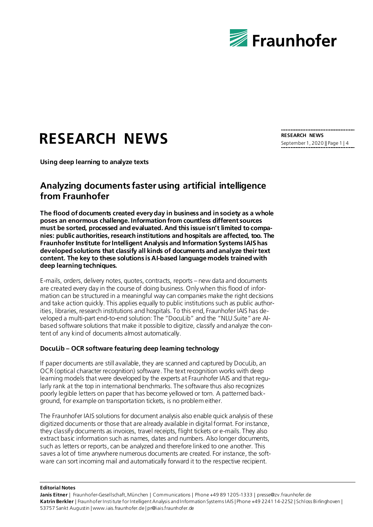

# **RESEARCH NEWS**

**Using deep learning to analyze texts**

## **Analyzing documents faster using artificial intelligence from Fraunhofer**

**The flood of documents created every day in business and in society as a whole poses an enormous challenge. Information from countless different sources must be sorted, processed and evaluated. And this issue isn't limited to companies: public authorities, research institutions and hospitals are affected, too. The Fraunhofer Institute for Intelligent Analysis and Information Systems IAIS has developed solutions that classify all kinds of documents and analyze their text content. The key to these solutions is AI-based language models trained with deep learning techniques.**

E-mails, orders, delivery notes, quotes, contracts, reports – new data and documents are created every day in the course of doing business. Only when this flood of information can be structured in a meaningful way can companies make the right decisions and take action quickly. This applies equally to public institutions such as public authorities, libraries, research institutions and hospitals. To this end, Fraunhofer IAIS has developed a multi-part end-to-end solution: The "DocuLib" and the "NLU.Suite" are AIbased software solutions that make it possible to digitize, classify and analyze the content of any kind of documents almost automatically.

#### **DocuLib – OCR software featuring deep learning technology**

If paper documents are still available, they are scanned and captured by DocuLib, an OCR (optical character recognition) software. The text recognition works with deep learning models that were developed by the experts at Fraunhofer IAIS and that regularly rank at the top in international benchmarks. The software thus also recognizes poorly legible letters on paper that has become yellowed or torn. A patterned background, for example on transportation tickets, is no problem either.

The Fraunhofer IAIS solutions for document analysis also enable quick analysis of these digitized documents or those that are already available in digital format. For instance, they classify documents as invoices, travel receipts, flight tickets or e-mails. They also extract basic information such as names, dates and numbers. Also longer documents, such as letters or reports, can be analyzed and therefore linked to one another. This saves a lot of time anywhere numerous documents are created. For instance, the software can sort incoming mail and automatically forward it to the respective recipient.

**Editorial Notes**

**RESEARCH NEWS** September 1, 2020 || Page 1 | 4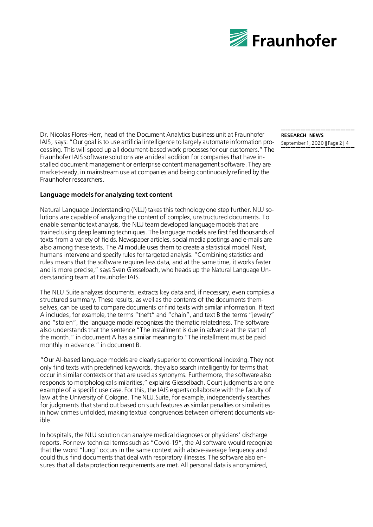

Dr. Nicolas Flores-Herr, head of the Document Analytics business unit at Fraunhofer IAIS, says: "Our goal is to use artificial intelligence to largely automate information processing. This will speed up all document-based work processes for our customers." The Fraunhofer IAIS software solutions are an ideal addition for companies that have installed document management or enterprise content management software. They are market-ready, in mainstream use at companies and being continuously refined by the Fraunhofer researchers.

#### **Language models for analyzing text content**

Natural Language Understanding (NLU) takes this technology one step further. NLU solutions are capable of analyzing the content of complex, unstructured documents. To enable semantic text analysis, the NLU team developed language models that are trained using deep learning techniques. The language models are first fed thousands of texts from a variety of fields. Newspaper articles, social media postings and e-mails are also among these texts. The AI module uses them to create a statistical model. Next, humans intervene and specify rules for targeted analysis. "Combining statistics and rules means that the software requires less data, and at the same time, it works faster and is more precise," says Sven Giesselbach, who heads up the Natural Language Understanding team at Fraunhofer IAIS.

The NLU.Suite analyzes documents, extracts key data and, if necessary, even compiles a structured summary. These results, as well as the contents of the documents themselves, can be used to compare documents or find texts with similar information. If text A includes, for example, the terms "theft" and "chain", and text B the terms "jewelry" and "stolen", the language model recognizes the thematic relatedness. The software also understands that the sentence "The installment is due in advance at the start of the month." in document A has a similar meaning to "The installment must be paid monthly in advance." in document B.

"Our AI-based language models are clearly superior to conventional indexing. They not only find texts with predefined keywords, they also search intelligently for terms that occur in similar contexts or that are used as synonyms. Furthermore, the software also responds to morphological similarities," explains Giesselbach. Court judgments are one example of a specific use case. For this, the IAIS experts collaborate with the faculty of law at the University of Cologne. The NLU.Suite, for example, independently searches for judgments that stand out based on such features as similar penalties or similarities in how crimes unfolded, making textual congruences between different documents visible.

In hospitals, the NLU solution can analyze medical diagnoses or physicians' discharge reports. For new technical terms such as "Covid-19", the AI software would recognize that the word "lung" occurs in the same context with above-average frequency and could thus find documents that deal with respiratory illnesses. The software also ensures that all data protection requirements are met. All personal data is anonymized,

### **RESEARCH NEWS**

September 1, 2020 || Page 2 | 4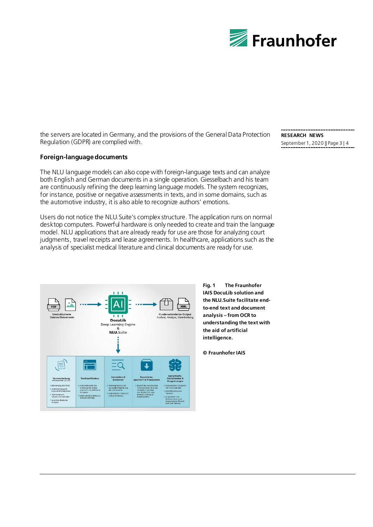

the servers are located in Germany, and the provisions of the General Data Protection Regulation (GDPR) are complied with.

#### **Foreign-language documents**

The NLU language models can also cope with foreign-language texts and can analyze both English and German documents in a single operation. Giesselbach and his team are continuously refining the deep learning language models. The system recognizes, for instance, positive or negative assessments in texts, and in some domains, such as the automotive industry, it is also able to recognize authors' emotions.

Users do not notice the NLU.Suite's complex structure. The application runs on normal desktop computers. Powerful hardware is only needed to create and train the language model. NLU applications that are already ready for use are those for analyzing court judgments, travel receipts and lease agreements. In healthcare, applications such as the analysis of specialist medical literature and clinical documents are ready for use.



**Fig. 1 The Fraunhofer IAIS DocuLib solution and the NLU.Suite facilitate endto-end text and document analysis – from OCR to understanding the text with the aid of artificial intelligence.**

**© Fraunhofer IAIS**

**RESEARCH NEWS** September 1, 2020 || Page 3 | 4